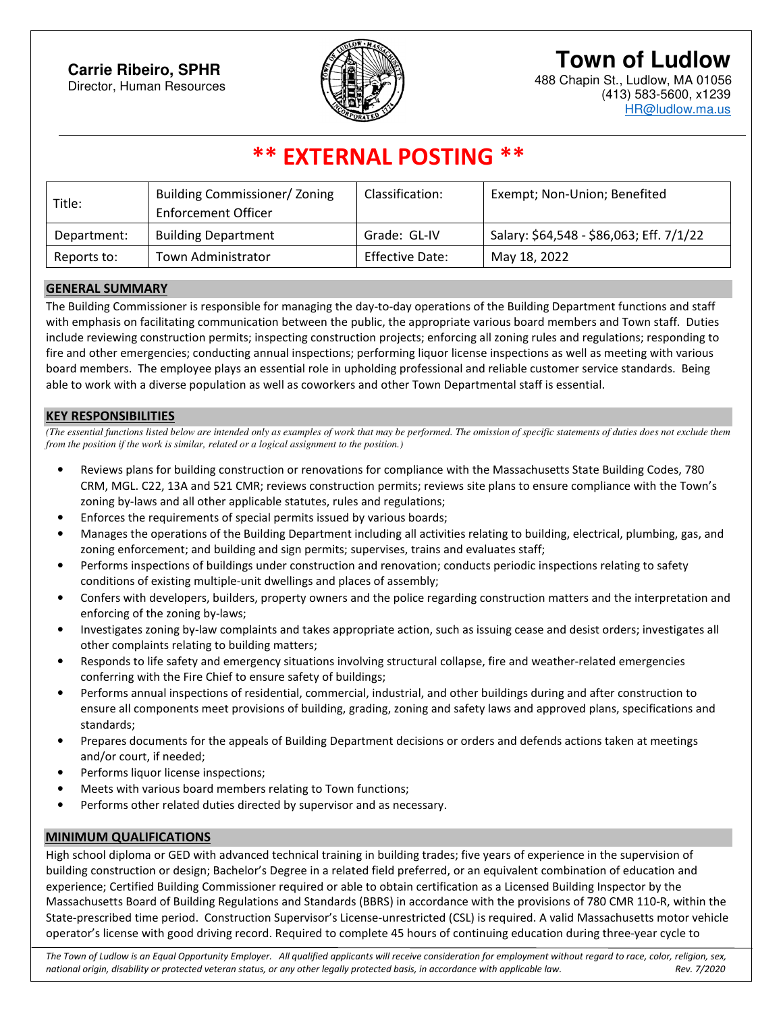## **Town of Ludlow**

488 Chapin St., Ludlow, MA 01056 (413) 583-5600, x1239 HR@ludlow.ma.us



### **\*\* EXTERNAL POSTING \*\***

| Title:      | <b>Building Commissioner/ Zoning</b><br>Enforcement Officer | Classification: | Exempt; Non-Union; Benefited             |
|-------------|-------------------------------------------------------------|-----------------|------------------------------------------|
| Department: | <b>Building Department</b>                                  | Grade: GL-IV    | Salary: \$64,548 - \$86,063; Eff. 7/1/22 |
| Reports to: | <b>Town Administrator</b>                                   | Effective Date: | May 18, 2022                             |

#### **GENERAL SUMMARY**

The Building Commissioner is responsible for managing the day-to-day operations of the Building Department functions and staff with emphasis on facilitating communication between the public, the appropriate various board members and Town staff. Duties include reviewing construction permits; inspecting construction projects; enforcing all zoning rules and regulations; responding to fire and other emergencies; conducting annual inspections; performing liquor license inspections as well as meeting with various board members. The employee plays an essential role in upholding professional and reliable customer service standards. Being able to work with a diverse population as well as coworkers and other Town Departmental staff is essential.

#### **KEY RESPONSIBILITIES**

*(The essential functions listed below are intended only as examples of work that may be performed. The omission of specific statements of duties does not exclude them from the position if the work is similar, related or a logical assignment to the position.)* 

- Reviews plans for building construction or renovations for compliance with the Massachusetts State Building Codes, 780 CRM, MGL. C22, 13A and 521 CMR; reviews construction permits; reviews site plans to ensure compliance with the Town's zoning by-laws and all other applicable statutes, rules and regulations;
- Enforces the requirements of special permits issued by various boards;
- Manages the operations of the Building Department including all activities relating to building, electrical, plumbing, gas, and zoning enforcement; and building and sign permits; supervises, trains and evaluates staff;
- Performs inspections of buildings under construction and renovation; conducts periodic inspections relating to safety conditions of existing multiple-unit dwellings and places of assembly;
- Confers with developers, builders, property owners and the police regarding construction matters and the interpretation and enforcing of the zoning by-laws;
- Investigates zoning by-law complaints and takes appropriate action, such as issuing cease and desist orders; investigates all other complaints relating to building matters;
- Responds to life safety and emergency situations involving structural collapse, fire and weather-related emergencies conferring with the Fire Chief to ensure safety of buildings;
- Performs annual inspections of residential, commercial, industrial, and other buildings during and after construction to ensure all components meet provisions of building, grading, zoning and safety laws and approved plans, specifications and standards;
- Prepares documents for the appeals of Building Department decisions or orders and defends actions taken at meetings and/or court, if needed;
- Performs liquor license inspections;
- Meets with various board members relating to Town functions;
- Performs other related duties directed by supervisor and as necessary.

#### **MINIMUM QUALIFICATIONS**

High school diploma or GED with advanced technical training in building trades; five years of experience in the supervision of building construction or design; Bachelor's Degree in a related field preferred, or an equivalent combination of education and experience; Certified Building Commissioner required or able to obtain certification as a Licensed Building Inspector by the Massachusetts Board of Building Regulations and Standards (BBRS) in accordance with the provisions of 780 CMR 110-R, within the State-prescribed time period. Construction Supervisor's License-unrestricted (CSL) is required. A valid Massachusetts motor vehicle operator's license with good driving record. Required to complete 45 hours of continuing education during three-year cycle to

*The Town of Ludlow is an Equal Opportunity Employer. All qualified applicants will receive consideration for employment without regard to race, color, religion, sex, national origin, disability or protected veteran status, or any other legally protected basis, in accordance with applicable law. Rev. 7/2020*